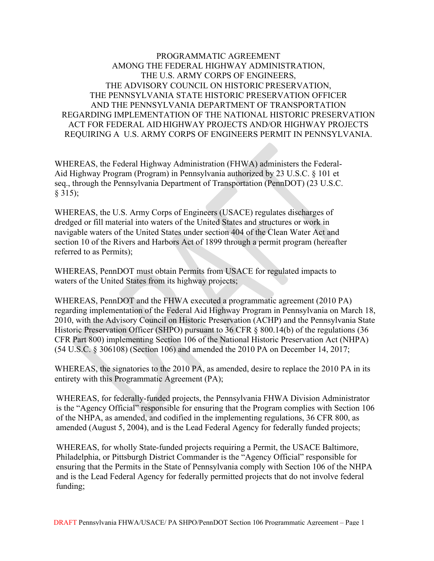# PROGRAMMATIC AGREEMENT AMONG THE FEDERAL HIGHWAY ADMINISTRATION, THE U.S. ARMY CORPS OF ENGINEERS, THE ADVISORY COUNCIL ON HISTORIC PRESERVATION, THE PENNSYLVANIA STATE HISTORIC PRESERVATION OFFICER AND THE PENNSYLVANIA DEPARTMENT OF TRANSPORTATION REGARDING IMPLEMENTATION OF THE NATIONAL HISTORIC PRESERVATION ACT FOR FEDERAL AID HIGHWAY PROJECTS AND/OR HIGHWAY PROJECTS REQUIRING A U.S. ARMY CORPS OF ENGINEERS PERMIT IN PENNSYLVANIA.

WHEREAS, the Federal Highway Administration (FHWA) administers the Federal-Aid Highway Program (Program) in Pennsylvania authorized by 23 U.S.C. § 101 et seq., through the Pennsylvania Department of Transportation (PennDOT) (23 U.S.C. § 315);

WHEREAS, the U.S. Army Corps of Engineers (USACE) regulates discharges of dredged or fill material into waters of the United States and structures or work in navigable waters of the United States under section 404 of the Clean Water Act and section 10 of the Rivers and Harbors Act of 1899 through a permit program (hereafter referred to as Permits);

WHEREAS, PennDOT must obtain Permits from USACE for regulated impacts to waters of the United States from its highway projects;

WHEREAS, PennDOT and the FHWA executed a programmatic agreement (2010 PA) regarding implementation of the Federal Aid Highway Program in Pennsylvania on March 18, 2010, with the Advisory Council on Historic Preservation (ACHP) and the Pennsylvania State Historic Preservation Officer (SHPO) pursuant to 36 CFR § 800.14(b) of the regulations (36 CFR Part 800) implementing Section 106 of the National Historic Preservation Act (NHPA) (54 U.S.C. § 306108) (Section 106) and amended the 2010 PA on December 14, 2017;

WHEREAS, the signatories to the 2010 PA, as amended, desire to replace the 2010 PA in its entirety with this Programmatic Agreement (PA);

WHEREAS, for federally-funded projects, the Pennsylvania FHWA Division Administrator is the "Agency Official" responsible for ensuring that the Program complies with Section 106 of the NHPA, as amended, and codified in the implementing regulations, 36 CFR 800, as amended (August 5, 2004), and is the Lead Federal Agency for federally funded projects;

WHEREAS, for wholly State-funded projects requiring a Permit, the USACE Baltimore, Philadelphia, or Pittsburgh District Commander is the "Agency Official" responsible for ensuring that the Permits in the State of Pennsylvania comply with Section 106 of the NHPA and is the Lead Federal Agency for federally permitted projects that do not involve federal funding;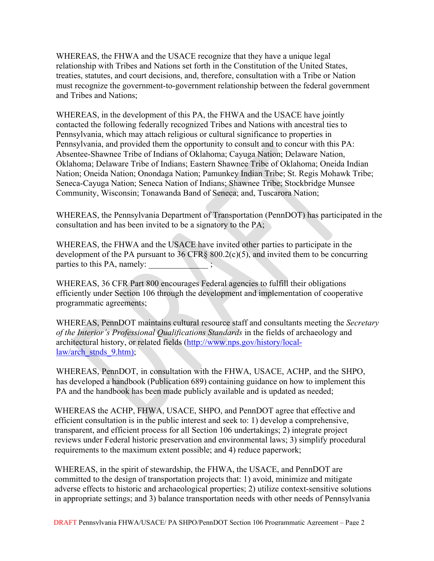WHEREAS, the FHWA and the USACE recognize that they have a unique legal relationship with Tribes and Nations set forth in the Constitution of the United States, treaties, statutes, and court decisions, and, therefore, consultation with a Tribe or Nation must recognize the government-to-government relationship between the federal government and Tribes and Nations;

WHEREAS, in the development of this PA, the FHWA and the USACE have jointly contacted the following federally recognized Tribes and Nations with ancestral ties to Pennsylvania, which may attach religious or cultural significance to properties in Pennsylvania, and provided them the opportunity to consult and to concur with this PA: Absentee-Shawnee Tribe of Indians of Oklahoma; Cayuga Nation; Delaware Nation, Oklahoma; Delaware Tribe of Indians; Eastern Shawnee Tribe of Oklahoma; Oneida Indian Nation; Oneida Nation; Onondaga Nation; Pamunkey Indian Tribe; St. Regis Mohawk Tribe; Seneca-Cayuga Nation; Seneca Nation of Indians; Shawnee Tribe; Stockbridge Munsee Community, Wisconsin; Tonawanda Band of Seneca; and, Tuscarora Nation;

WHEREAS, the Pennsylvania Department of Transportation (PennDOT) has participated in the consultation and has been invited to be a signatory to the PA;

WHEREAS, the FHWA and the USACE have invited other parties to participate in the development of the PA pursuant to  $36 \text{ CFR}$ §  $800.2(c)(5)$ , and invited them to be concurring parties to this PA, namely:  $\qquad$ ;

WHEREAS, 36 CFR Part 800 encourages Federal agencies to fulfill their obligations efficiently under Section 106 through the development and implementation of cooperative programmatic agreements;

WHEREAS, PennDOT maintains cultural resource staff and consultants meeting the *Secretary of the Interior's Professional Qualifications Standards* in the fields of archaeology and architectural history, or related fields [\(http://www.nps.gov/history/local](http://www.nps.gov/history/local-law/arch_stnds_9.htm)[law/arch\\_stnds\\_9.htm\)](http://www.nps.gov/history/local-law/arch_stnds_9.htm);

WHEREAS, PennDOT, in consultation with the FHWA, USACE, ACHP, and the SHPO, has developed a handbook (Publication 689) containing guidance on how to implement this PA and the handbook has been made publicly available and is updated as needed;

WHEREAS the ACHP, FHWA, USACE, SHPO, and PennDOT agree that effective and efficient consultation is in the public interest and seek to: 1) develop a comprehensive, transparent, and efficient process for all Section 106 undertakings; 2) integrate project reviews under Federal historic preservation and environmental laws; 3) simplify procedural requirements to the maximum extent possible; and 4) reduce paperwork;

WHEREAS, in the spirit of stewardship, the FHWA, the USACE, and PennDOT are committed to the design of transportation projects that: 1) avoid, minimize and mitigate adverse effects to historic and archaeological properties; 2) utilize context-sensitive solutions in appropriate settings; and 3) balance transportation needs with other needs of Pennsylvania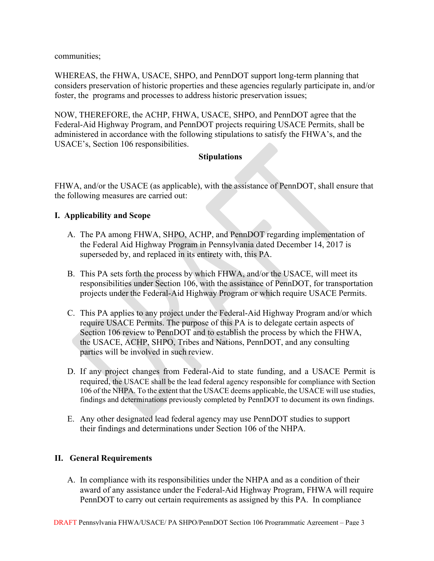communities;

WHEREAS, the FHWA, USACE, SHPO, and PennDOT support long-term planning that considers preservation of historic properties and these agencies regularly participate in, and/or foster, the programs and processes to address historic preservation issues;

NOW, THEREFORE, the ACHP, FHWA, USACE, SHPO, and PennDOT agree that the Federal-Aid Highway Program, and PennDOT projects requiring USACE Permits, shall be administered in accordance with the following stipulations to satisfy the FHWA's, and the USACE's, Section 106 responsibilities.

## **Stipulations**

FHWA, and/or the USACE (as applicable), with the assistance of PennDOT, shall ensure that the following measures are carried out:

## **I. Applicability and Scope**

- A. The PA among FHWA, SHPO, ACHP, and PennDOT regarding implementation of the Federal Aid Highway Program in Pennsylvania dated December 14, 2017 is superseded by, and replaced in its entirety with, this PA.
- B. This PA sets forth the process by which FHWA, and/or the USACE, will meet its responsibilities under Section 106, with the assistance of PennDOT, for transportation projects under the Federal-Aid Highway Program or which require USACE Permits.
- C. This PA applies to any project under the Federal-Aid Highway Program and/or which require USACE Permits. The purpose of this PA is to delegate certain aspects of Section 106 review to PennDOT and to establish the process by which the FHWA, the USACE, ACHP, SHPO, Tribes and Nations, PennDOT, and any consulting parties will be involved in such review.
- D. If any project changes from Federal-Aid to state funding, and a USACE Permit is required, the USACE shall be the lead federal agency responsible for compliance with Section 106 of the NHPA. To the extent that the USACE deems applicable, the USACE will use studies, findings and determinations previously completed by PennDOT to document its own findings.
- E. Any other designated lead federal agency may use PennDOT studies to support their findings and determinations under Section 106 of the NHPA.

# **II. General Requirements**

A. In compliance with its responsibilities under the NHPA and as a condition of their award of any assistance under the Federal-Aid Highway Program, FHWA will require PennDOT to carry out certain requirements as assigned by this PA. In compliance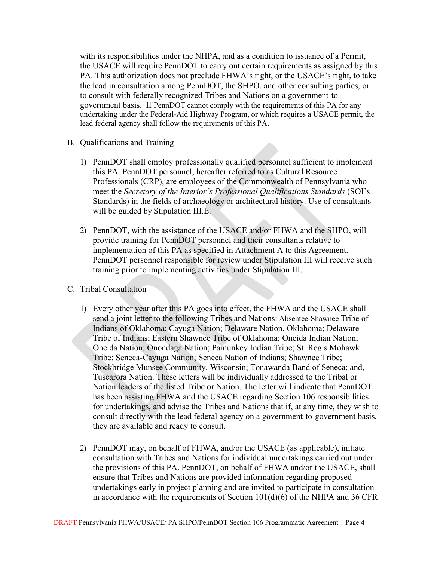with its responsibilities under the NHPA, and as a condition to issuance of a Permit, the USACE will require PennDOT to carry out certain requirements as assigned by this PA. This authorization does not preclude FHWA's right, or the USACE's right, to take the lead in consultation among PennDOT, the SHPO, and other consulting parties, or to consult with federally recognized Tribes and Nations on a government-togovernment basis. If PennDOT cannot comply with the requirements of this PA for any undertaking under the Federal-Aid Highway Program, or which requires a USACE permit, the lead federal agency shall follow the requirements of this PA.

- B. Qualifications and Training
	- 1) PennDOT shall employ professionally qualified personnel sufficient to implement this PA. PennDOT personnel, hereafter referred to as Cultural Resource Professionals (CRP), are employees of the Commonwealth of Pennsylvania who meet the *Secretary of the Interior's Professional Qualifications Standards* (SOI's Standards) in the fields of archaeology or architectural history. Use of consultants will be guided by Stipulation III.E.
	- 2) PennDOT, with the assistance of the USACE and/or FHWA and the SHPO, will provide training for PennDOT personnel and their consultants relative to implementation of this PA as specified in Attachment A to this Agreement. PennDOT personnel responsible for review under Stipulation III will receive such training prior to implementing activities under Stipulation III.
- C. Tribal Consultation
	- 1) Every other year after this PA goes into effect, the FHWA and the USACE shall send a joint letter to the following Tribes and Nations: Absentee-Shawnee Tribe of Indians of Oklahoma; Cayuga Nation; Delaware Nation, Oklahoma; Delaware Tribe of Indians; Eastern Shawnee Tribe of Oklahoma; Oneida Indian Nation; Oneida Nation; Onondaga Nation; Pamunkey Indian Tribe; St. Regis Mohawk Tribe; Seneca-Cayuga Nation; Seneca Nation of Indians; Shawnee Tribe; Stockbridge Munsee Community, Wisconsin; Tonawanda Band of Seneca; and, Tuscarora Nation. These letters will be individually addressed to the Tribal or Nation leaders of the listed Tribe or Nation. The letter will indicate that PennDOT has been assisting FHWA and the USACE regarding Section 106 responsibilities for undertakings, and advise the Tribes and Nations that if, at any time, they wish to consult directly with the lead federal agency on a government-to-government basis, they are available and ready to consult.
	- 2) PennDOT may, on behalf of FHWA, and/or the USACE (as applicable), initiate consultation with Tribes and Nations for individual undertakings carried out under the provisions of this PA. PennDOT, on behalf of FHWA and/or the USACE, shall ensure that Tribes and Nations are provided information regarding proposed undertakings early in project planning and are invited to participate in consultation in accordance with the requirements of Section  $101(d)(6)$  of the NHPA and 36 CFR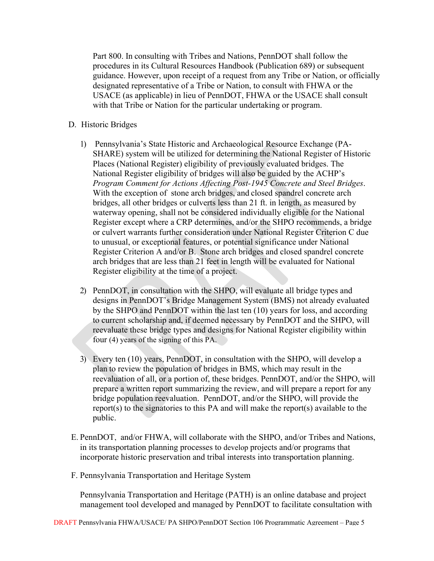Part 800. In consulting with Tribes and Nations, PennDOT shall follow the procedures in its Cultural Resources Handbook (Publication 689) or subsequent guidance. However, upon receipt of a request from any Tribe or Nation, or officially designated representative of a Tribe or Nation, to consult with FHWA or the USACE (as applicable) in lieu of PennDOT, FHWA or the USACE shall consult with that Tribe or Nation for the particular undertaking or program.

- D. Historic Bridges
	- 1) Pennsylvania's State Historic and Archaeological Resource Exchange (PA-SHARE) system will be utilized for determining the National Register of Historic Places (National Register) eligibility of previously evaluated bridges. The National Register eligibility of bridges will also be guided by the ACHP's *Program Comment for Actions Affecting Post-1945 Concrete and Steel Bridges*. With the exception of stone arch bridges, and closed spandrel concrete arch bridges, all other bridges or culverts less than 21 ft. in length, as measured by waterway opening, shall not be considered individually eligible for the National Register except where a CRP determines, and/or the SHPO recommends, a bridge or culvert warrants further consideration under National Register Criterion C due to unusual, or exceptional features, or potential significance under National Register Criterion A and/or B. Stone arch bridges and closed spandrel concrete arch bridges that are less than 21 feet in length will be evaluated for National Register eligibility at the time of a project.
	- 2) PennDOT, in consultation with the SHPO, will evaluate all bridge types and designs in PennDOT's Bridge Management System (BMS) not already evaluated by the SHPO and PennDOT within the last ten (10) years for loss, and according to current scholarship and, if deemed necessary by PennDOT and the SHPO, will reevaluate these bridge types and designs for National Register eligibility within four (4) years of the signing of this PA.
	- 3) Every ten (10) years, PennDOT, in consultation with the SHPO, will develop a plan to review the population of bridges in BMS, which may result in the reevaluation of all, or a portion of, these bridges. PennDOT, and/or the SHPO, will prepare a written report summarizing the review, and will prepare a report for any bridge population reevaluation. PennDOT, and/or the SHPO, will provide the report(s) to the signatories to this PA and will make the report(s) available to the public.
- E. PennDOT, and/or FHWA, will collaborate with the SHPO, and/or Tribes and Nations, in its transportation planning processes to develop projects and/or programs that incorporate historic preservation and tribal interests into transportation planning.
- F. Pennsylvania Transportation and Heritage System

Pennsylvania Transportation and Heritage (PATH) is an online database and project management tool developed and managed by PennDOT to facilitate consultation with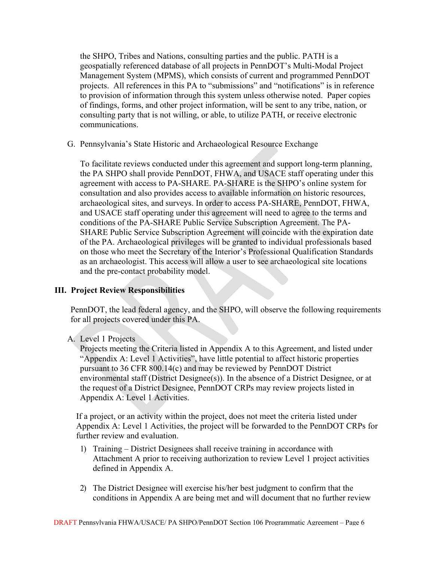the SHPO, Tribes and Nations, consulting parties and the public. PATH is a geospatially referenced database of all projects in PennDOT's Multi-Modal Project Management System (MPMS), which consists of current and programmed PennDOT projects. All references in this PA to "submissions" and "notifications" is in reference to provision of information through this system unless otherwise noted. Paper copies of findings, forms, and other project information, will be sent to any tribe, nation, or consulting party that is not willing, or able, to utilize PATH, or receive electronic communications.

G. Pennsylvania's State Historic and Archaeological Resource Exchange

To facilitate reviews conducted under this agreement and support long-term planning, the PA SHPO shall provide PennDOT, FHWA, and USACE staff operating under this agreement with access to PA-SHARE. PA-SHARE is the SHPO's online system for consultation and also provides access to available information on historic resources, archaeological sites, and surveys. In order to access PA-SHARE, PennDOT, FHWA, and USACE staff operating under this agreement will need to agree to the terms and conditions of the PA-SHARE Public Service Subscription Agreement. The PA-SHARE Public Service Subscription Agreement will coincide with the expiration date of the PA. Archaeological privileges will be granted to individual professionals based on those who meet the Secretary of the Interior's Professional Qualification Standards as an archaeologist. This access will allow a user to see archaeological site locations and the pre-contact probability model.

# **III. Project Review Responsibilities**

PennDOT, the lead federal agency, and the SHPO, will observe the following requirements for all projects covered under this PA.

# A. Level 1 Projects

Projects meeting the Criteria listed in Appendix A to this Agreement, and listed under "Appendix A: Level 1 Activities", have little potential to affect historic properties pursuant to 36 CFR 800.14(c) and may be reviewed by PennDOT District environmental staff (District Designee(s)). In the absence of a District Designee, or at the request of a District Designee, PennDOT CRPs may review projects listed in Appendix A: Level 1 Activities.

If a project, or an activity within the project, does not meet the criteria listed under Appendix A: Level 1 Activities, the project will be forwarded to the PennDOT CRPs for further review and evaluation.

- 1) Training District Designees shall receive training in accordance with Attachment A prior to receiving authorization to review Level 1 project activities defined in Appendix A.
- 2) The District Designee will exercise his/her best judgment to confirm that the conditions in Appendix A are being met and will document that no further review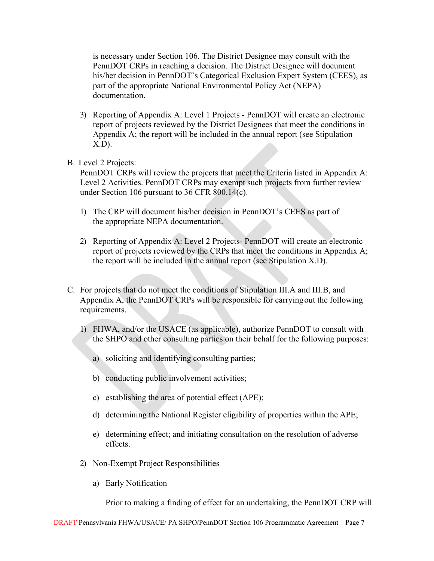is necessary under Section 106. The District Designee may consult with the PennDOT CRPs in reaching a decision. The District Designee will document his/her decision in PennDOT's Categorical Exclusion Expert System (CEES), as part of the appropriate National Environmental Policy Act (NEPA) documentation.

- 3) Reporting of Appendix A: Level 1 Projects PennDOT will create an electronic report of projects reviewed by the District Designees that meet the conditions in Appendix A; the report will be included in the annual report (see Stipulation X.D).
- B. Level 2 Projects:

PennDOT CRPs will review the projects that meet the Criteria listed in Appendix A: Level 2 Activities. PennDOT CRPs may exempt such projects from further review under Section 106 pursuant to 36 CFR 800.14(c).

- 1) The CRP will document his/her decision in PennDOT's CEES as part of the appropriate NEPA documentation.
- 2) Reporting of Appendix A: Level 2 Projects- PennDOT will create an electronic report of projects reviewed by the CRPs that meet the conditions in Appendix A; the report will be included in the annual report (see Stipulation X.D).
- C. For projects that do not meet the conditions of Stipulation III.A and III.B, and Appendix A, the PennDOT CRPs will be responsible for carryingout the following requirements.
	- 1) FHWA, and/or the USACE (as applicable), authorize PennDOT to consult with the SHPO and other consulting parties on their behalf for the following purposes:
		- a) soliciting and identifying consulting parties;
		- b) conducting public involvement activities;
		- c) establishing the area of potential effect (APE);
		- d) determining the National Register eligibility of properties within the APE;
		- e) determining effect; and initiating consultation on the resolution of adverse effects.
	- 2) Non-Exempt Project Responsibilities
		- a) Early Notification

Prior to making a finding of effect for an undertaking, the PennDOT CRP will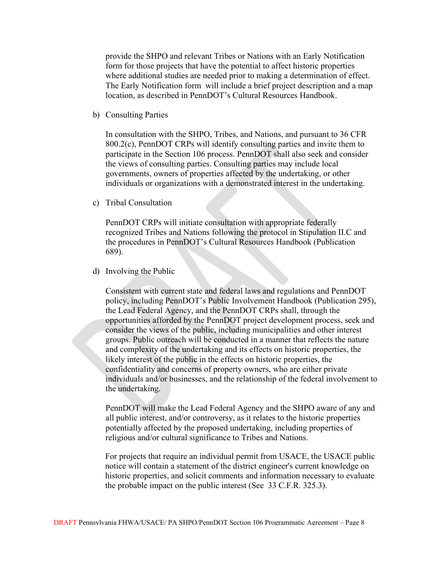provide the SHPO and relevant Tribes or Nations with an Early Notification form for those projects that have the potential to affect historic properties where additional studies are needed prior to making a determination of effect. The Early Notification form will include a brief project description and a map location, as described in PennDOT's Cultural Resources Handbook.

b) Consulting Parties

In consultation with the SHPO, Tribes, and Nations, and pursuant to 36 CFR 800.2(c), PennDOT CRPs will identify consulting parties and invite them to participate in the Section 106 process. PennDOT shall also seek and consider the views of consulting parties. Consulting parties may include local governments, owners of properties affected by the undertaking, or other individuals or organizations with a demonstrated interest in the undertaking.

c) Tribal Consultation

PennDOT CRPs will initiate consultation with appropriate federally recognized Tribes and Nations following the protocol in Stipulation II.C and the procedures in PennDOT's Cultural Resources Handbook (Publication 689).

d) Involving the Public

Consistent with current state and federal laws and regulations and PennDOT policy, including PennDOT's Public Involvement Handbook (Publication 295), the Lead Federal Agency, and the PennDOT CRPs shall, through the opportunities afforded by the PennDOT project development process, seek and consider the views of the public, including municipalities and other interest groups. Public outreach will be conducted in a manner that reflects the nature and complexity of the undertaking and its effects on historic properties, the likely interest of the public in the effects on historic properties, the confidentiality and concerns of property owners, who are either private individuals and/or businesses, and the relationship of the federal involvement to the undertaking.

PennDOT will make the Lead Federal Agency and the SHPO aware of any and all public interest, and/or controversy, as it relates to the historic properties potentially affected by the proposed undertaking, including properties of religious and/or cultural significance to Tribes and Nations.

For projects that require an individual permit from USACE, the USACE public notice will contain a statement of the district engineer's current knowledge on historic properties, and solicit comments and information necessary to evaluate the probable impact on the public interest (See 33 C.F.R. 325.3).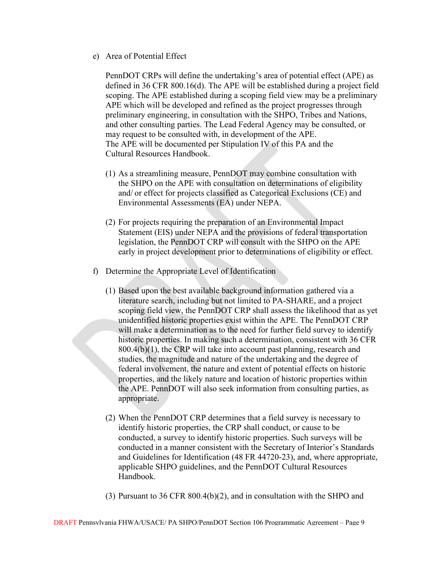e) Area of Potential Effect

PennDOT CRPs will define the undertaking's area of potential effect (APE) as defined in 36 CFR 800.16(d). The APE will be established during a project field scoping. The APE established during a scoping field view may be a preliminary APE which will be developed and refined as the project progresses through preliminary engineering, in consultation with the SHPO, Tribes and Nations, and other consulting parties. The Lead Federal Agency may be consulted, or may request to be consulted with, in development of the APE. The APE will be documented per Stipulation IV of this PA and the Cultural Resources Handbook.

- (1) As a streamlining measure, PennDOT may combine consultation with the SHPO on the APE with consultation on determinations of eligibility and/ or effect for projects classified as Categorical Exclusions (CE) and Environmental Assessments (EA) under NEPA.
- (2) For projects requiring the preparation of an Environmental Impact Statement (EIS) under NEPA and the provisions of federal transportation legislation, the PennDOT CRP will consult with the SHPO on the APE early in project development prior to determinations of eligibility or effect.
- f) Determine the Appropriate Level of Identification
	- (1) Based upon the best available background information gathered via a literature search, including but not limited to PA-SHARE, and a project scoping field view, the PennDOT CRP shall assess the likelihood that as yet unidentified historic properties exist within the APE. The PennDOT CRP will make a determination as to the need for further field survey to identify historic properties. In making such a determination, consistent with 36 CFR 800.4(b)(1), the CRP will take into account past planning, research and studies, the magnitude and nature of the undertaking and the degree of federal involvement, the nature and extent of potential effects on historic properties, and the likely nature and location of historic properties within the APE. PennDOT will also seek information from consulting parties, as appropriate.
	- (2) When the PennDOT CRP determines that a field survey is necessary to identify historic properties, the CRP shall conduct, or cause to be conducted, a survey to identify historic properties. Such surveys will be conducted in a manner consistent with the Secretary of Interior's Standards and Guidelines for Identification (48 FR 44720-23), and, where appropriate, applicable SHPO guidelines, and the PennDOT Cultural Resources Handbook.
	- (3) Pursuant to 36 CFR 800.4(b)(2), and in consultation with the SHPO and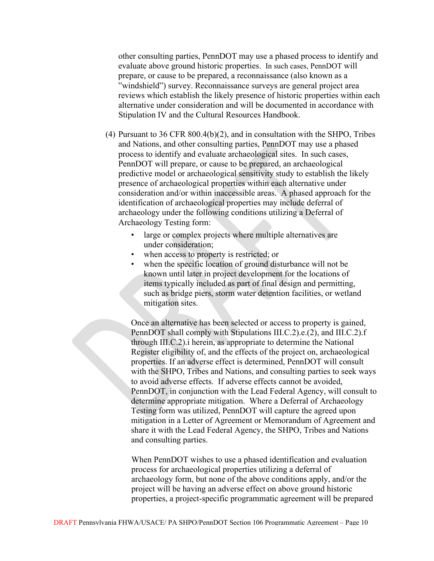other consulting parties, PennDOT may use a phased process to identify and evaluate above ground historic properties. In such cases, PennDOT will prepare, or cause to be prepared, a reconnaissance (also known as a "windshield") survey. Reconnaissance surveys are general project area reviews which establish the likely presence of historic properties within each alternative under consideration and will be documented in accordance with Stipulation IV and the Cultural Resources Handbook.

- (4) Pursuant to 36 CFR 800.4(b)(2), and in consultation with the SHPO, Tribes and Nations, and other consulting parties, PennDOT may use a phased process to identify and evaluate archaeological sites. In such cases, PennDOT will prepare, or cause to be prepared, an archaeological predictive model or archaeological sensitivity study to establish the likely presence of archaeological properties within each alternative under consideration and/or within inaccessible areas. A phased approach for the identification of archaeological properties may include deferral of archaeology under the following conditions utilizing a Deferral of Archaeology Testing form:
	- large or complex projects where multiple alternatives are under consideration;
	- when access to property is restricted; or
	- when the specific location of ground disturbance will not be known until later in project development for the locations of items typically included as part of final design and permitting, such as bridge piers, storm water detention facilities, or wetland mitigation sites.

Once an alternative has been selected or access to property is gained, PennDOT shall comply with Stipulations III.C.2).e.(2), and III.C.2).f through III.C.2).i herein, as appropriate to determine the National Register eligibility of, and the effects of the project on, archaeological properties. If an adverse effect is determined, PennDOT will consult with the SHPO, Tribes and Nations, and consulting parties to seek ways to avoid adverse effects. If adverse effects cannot be avoided, PennDOT, in conjunction with the Lead Federal Agency, will consult to determine appropriate mitigation. Where a Deferral of Archaeology Testing form was utilized, PennDOT will capture the agreed upon mitigation in a Letter of Agreement or Memorandum of Agreement and share it with the Lead Federal Agency, the SHPO, Tribes and Nations and consulting parties.

When PennDOT wishes to use a phased identification and evaluation process for archaeological properties utilizing a deferral of archaeology form, but none of the above conditions apply, and/or the project will be having an adverse effect on above ground historic properties, a project-specific programmatic agreement will be prepared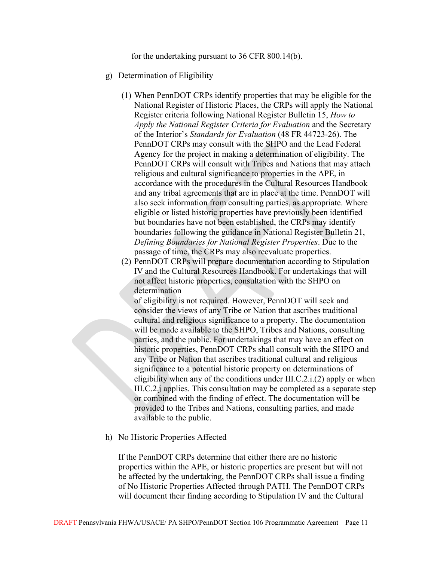for the undertaking pursuant to 36 CFR 800.14(b).

- g) Determination of Eligibility
	- (1) When PennDOT CRPs identify properties that may be eligible for the National Register of Historic Places, the CRPs will apply the National Register criteria following National Register Bulletin 15, *How to Apply the National Register Criteria for Evaluation* and the Secretary of the Interior's *Standards for Evaluation* (48 FR 44723-26). The PennDOT CRPs may consult with the SHPO and the Lead Federal Agency for the project in making a determination of eligibility. The PennDOT CRPs will consult with Tribes and Nations that may attach religious and cultural significance to properties in the APE, in accordance with the procedures in the Cultural Resources Handbook and any tribal agreements that are in place at the time. PennDOT will also seek information from consulting parties, as appropriate. Where eligible or listed historic properties have previously been identified but boundaries have not been established, the CRPs may identify boundaries following the guidance in National Register Bulletin 21, *Defining Boundaries for National Register Properties*. Due to the passage of time, the CRPs may also reevaluate properties.
	- (2) PennDOT CRPs will prepare documentation according to Stipulation IV and the Cultural Resources Handbook. For undertakings that will not affect historic properties, consultation with the SHPO on determination

of eligibility is not required. However, PennDOT will seek and consider the views of any Tribe or Nation that ascribes traditional cultural and religious significance to a property. The documentation will be made available to the SHPO, Tribes and Nations, consulting parties, and the public. For undertakings that may have an effect on historic properties, PennDOT CRPs shall consult with the SHPO and any Tribe or Nation that ascribes traditional cultural and religious significance to a potential historic property on determinations of eligibility when any of the conditions under III.C.2.i.(2) apply or when III.C.2.j applies. This consultation may be completed as a separate step or combined with the finding of effect. The documentation will be provided to the Tribes and Nations, consulting parties, and made available to the public.

h) No Historic Properties Affected

If the PennDOT CRPs determine that either there are no historic properties within the APE, or historic properties are present but will not be affected by the undertaking, the PennDOT CRPs shall issue a finding of No Historic Properties Affected through PATH. The PennDOT CRPs will document their finding according to Stipulation IV and the Cultural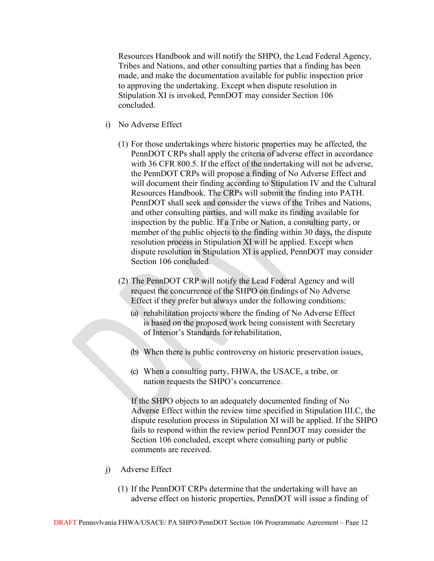Resources Handbook and will notify the SHPO, the Lead Federal Agency, Tribes and Nations, and other consulting parties that a finding has been made, and make the documentation available for public inspection prior to approving the undertaking. Except when dispute resolution in Stipulation XI is invoked, PennDOT may consider Section 106 concluded.

- i) No Adverse Effect
	- (1) For those undertakings where historic properties may be affected, the PennDOT CRPs shall apply the criteria of adverse effect in accordance with 36 CFR 800.5. If the effect of the undertaking will not be adverse, the PennDOT CRPs will propose a finding of No Adverse Effect and will document their finding according to Stipulation IV and the Cultural Resources Handbook. The CRPs will submit the finding into PATH. PennDOT shall seek and consider the views of the Tribes and Nations, and other consulting parties, and will make its finding available for inspection by the public. If a Tribe or Nation, a consulting party, or member of the public objects to the finding within 30 days, the dispute resolution process in Stipulation XI will be applied. Except when dispute resolution in Stipulation XI is applied, PennDOT may consider Section 106 concluded.
	- (2) The PennDOT CRP will notify the Lead Federal Agency and will request the concurrence of the SHPO on findings of No Adverse Effect if they prefer but always under the following conditions:
		- (a) rehabilitation projects where the finding of No Adverse Effect is based on the proposed work being consistent with Secretary of Interior's Standards for rehabilitation,
		- (b) When there is public controversy on historic preservation issues,
		- (c) When a consulting party, FHWA, the USACE, a tribe, or nation requests the SHPO's concurrence.

If the SHPO objects to an adequately documented finding of No Adverse Effect within the review time specified in Stipulation III.C, the dispute resolution process in Stipulation XI will be applied. If the SHPO fails to respond within the review period PennDOT may consider the Section 106 concluded, except where consulting party or public comments are received.

- j) Adverse Effect
	- (1) If the PennDOT CRPs determine that the undertaking will have an adverse effect on historic properties, PennDOT will issue a finding of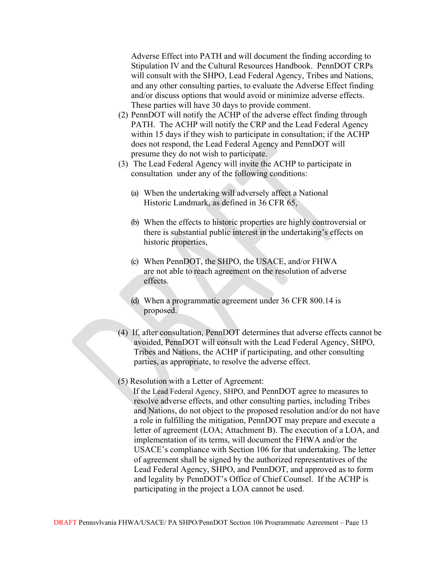Adverse Effect into PATH and will document the finding according to Stipulation IV and the Cultural Resources Handbook. PennDOT CRPs will consult with the SHPO, Lead Federal Agency, Tribes and Nations, and any other consulting parties, to evaluate the Adverse Effect finding and/or discuss options that would avoid or minimize adverse effects. These parties will have 30 days to provide comment.

- (2) PennDOT will notify the ACHP of the adverse effect finding through PATH. The ACHP will notify the CRP and the Lead Federal Agency within 15 days if they wish to participate in consultation; if the ACHP does not respond, the Lead Federal Agency and PennDOT will presume they do not wish to participate.
- (3) The Lead Federal Agency will invite the ACHP to participate in consultation under any of the following conditions:
	- (a) When the undertaking will adversely affect a National Historic Landmark, as defined in 36 CFR 65,
	- (b) When the effects to historic properties are highly controversial or there is substantial public interest in the undertaking's effects on historic properties,
	- (c) When PennDOT, the SHPO, the USACE, and/or FHWA are not able to reach agreement on the resolution of adverse effects.
	- (d) When a programmatic agreement under 36 CFR 800.14 is proposed.
- (4) If, after consultation, PennDOT determines that adverse effects cannot be avoided, PennDOT will consult with the Lead Federal Agency, SHPO, Tribes and Nations, the ACHP if participating, and other consulting parties, as appropriate, to resolve the adverse effect.
- (5) Resolution with a Letter of Agreement:

If the Lead Federal Agency, SHPO, and PennDOT agree to measures to resolve adverse effects, and other consulting parties, including Tribes and Nations, do not object to the proposed resolution and/or do not have a role in fulfilling the mitigation, PennDOT may prepare and execute a letter of agreement (LOA; Attachment B). The execution of a LOA, and implementation of its terms, will document the FHWA and/or the USACE's compliance with Section 106 for that undertaking. The letter of agreement shall be signed by the authorized representatives of the Lead Federal Agency, SHPO, and PennDOT, and approved as to form and legality by PennDOT's Office of Chief Counsel. If the ACHP is participating in the project a LOA cannot be used.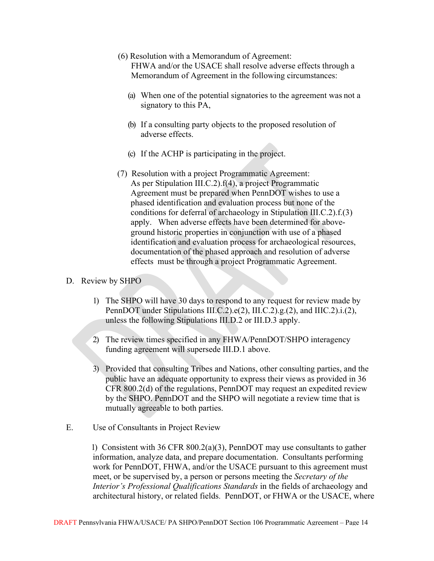(6) Resolution with a Memorandum of Agreement:

FHWA and/or the USACE shall resolve adverse effects through a Memorandum of Agreement in the following circumstances:

- (a) When one of the potential signatories to the agreement was not a signatory to this PA,
- (b) If a consulting party objects to the proposed resolution of adverse effects.
- (c) If the ACHP is participating in the project.
- (7) Resolution with a project Programmatic Agreement: As per Stipulation III.C.2).f(4), a project Programmatic Agreement must be prepared when PennDOT wishes to use a phased identification and evaluation process but none of the conditions for deferral of archaeology in Stipulation III.C.2).f.(3) apply. When adverse effects have been determined for aboveground historic properties in conjunction with use of a phased identification and evaluation process for archaeological resources, documentation of the phased approach and resolution of adverse effects must be through a project Programmatic Agreement.

## D. Review by SHPO

- 1) The SHPO will have 30 days to respond to any request for review made by PennDOT under Stipulations III.C.2).e(2), III.C.2).g.(2), and IIIC.2).i.(2), unless the following Stipulations III.D.2 or III.D.3 apply.
- 2) The review times specified in any FHWA/PennDOT/SHPO interagency funding agreement will supersede III.D.1 above.
- 3) Provided that consulting Tribes and Nations, other consulting parties, and the public have an adequate opportunity to express their views as provided in 36 CFR 800.2(d) of the regulations, PennDOT may request an expedited review by the SHPO. PennDOT and the SHPO will negotiate a review time that is mutually agreeable to both parties.
- E. Use of Consultants in Project Review

1) Consistent with 36 CFR 800.2(a)(3), PennDOT may use consultants to gather information, analyze data, and prepare documentation. Consultants performing work for PennDOT, FHWA, and/or the USACE pursuant to this agreement must meet, or be supervised by, a person or persons meeting the *Secretary of the Interior's Professional Qualifications Standards* in the fields of archaeology and architectural history, or related fields. PennDOT, or FHWA or the USACE, where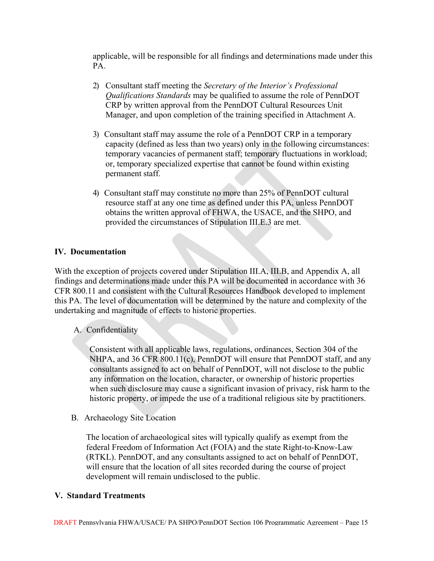applicable, will be responsible for all findings and determinations made under this PA.

- 2) Consultant staff meeting the *Secretary of the Interior's Professional Qualifications Standards* may be qualified to assume the role of PennDOT CRP by written approval from the PennDOT Cultural Resources Unit Manager, and upon completion of the training specified in Attachment A.
- 3) Consultant staff may assume the role of a PennDOT CRP in a temporary capacity (defined as less than two years) only in the following circumstances: temporary vacancies of permanent staff; temporary fluctuations in workload; or, temporary specialized expertise that cannot be found within existing permanent staff.
- 4) Consultant staff may constitute no more than 25% of PennDOT cultural resource staff at any one time as defined under this PA, unless PennDOT obtains the written approval of FHWA, the USACE, and the SHPO, and provided the circumstances of Stipulation III.E.3 are met.

## **IV. Documentation**

With the exception of projects covered under Stipulation III.A, III.B, and Appendix A, all findings and determinations made under this PA will be documented in accordance with 36 CFR 800.11 and consistent with the Cultural Resources Handbook developed to implement this PA. The level of documentation will be determined by the nature and complexity of the undertaking and magnitude of effects to historic properties.

## A. Confidentiality

Consistent with all applicable laws, regulations, ordinances, Section 304 of the NHPA, and 36 CFR 800.11(c), PennDOT will ensure that PennDOT staff, and any consultants assigned to act on behalf of PennDOT, will not disclose to the public any information on the location, character, or ownership of historic properties when such disclosure may cause a significant invasion of privacy, risk harm to the historic property, or impede the use of a traditional religious site by practitioners.

B. Archaeology Site Location

The location of archaeological sites will typically qualify as exempt from the federal Freedom of Information Act (FOIA) and the state Right-to-Know-Law (RTKL). PennDOT, and any consultants assigned to act on behalf of PennDOT, will ensure that the location of all sites recorded during the course of project development will remain undisclosed to the public.

## **V. Standard Treatments**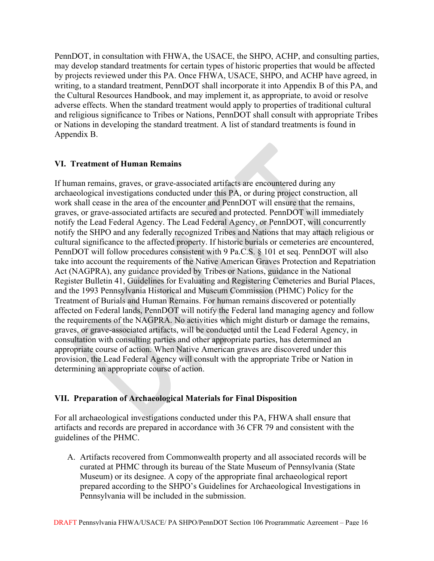PennDOT, in consultation with FHWA, the USACE, the SHPO, ACHP, and consulting parties, may develop standard treatments for certain types of historic properties that would be affected by projects reviewed under this PA. Once FHWA, USACE, SHPO, and ACHP have agreed, in writing, to a standard treatment, PennDOT shall incorporate it into Appendix B of this PA, and the Cultural Resources Handbook, and may implement it, as appropriate, to avoid or resolve adverse effects. When the standard treatment would apply to properties of traditional cultural and religious significance to Tribes or Nations, PennDOT shall consult with appropriate Tribes or Nations in developing the standard treatment. A list of standard treatments is found in Appendix B.

# **VI. Treatment of Human Remains**

If human remains, graves, or grave-associated artifacts are encountered during any archaeological investigations conducted under this PA, or during project construction, all work shall cease in the area of the encounter and PennDOT will ensure that the remains, graves, or grave-associated artifacts are secured and protected. PennDOT will immediately notify the Lead Federal Agency. The Lead Federal Agency, or PennDOT, will concurrently notify the SHPO and any federally recognized Tribes and Nations that may attach religious or cultural significance to the affected property. If historic burials or cemeteries are encountered, PennDOT will follow procedures consistent with 9 Pa.C.S. § 101 et seq. PennDOT will also take into account the requirements of the Native American Graves Protection and Repatriation Act (NAGPRA), any guidance provided by Tribes or Nations, guidance in the National Register Bulletin 41, Guidelines for Evaluating and Registering Cemeteries and Burial Places, and the 1993 Pennsylvania Historical and Museum Commission (PHMC) Policy for the Treatment of Burials and Human Remains. For human remains discovered or potentially affected on Federal lands, PennDOT will notify the Federal land managing agency and follow the requirements of the NAGPRA. No activities which might disturb or damage the remains, graves, or grave-associated artifacts, will be conducted until the Lead Federal Agency, in consultation with consulting parties and other appropriate parties, has determined an appropriate course of action. When Native American graves are discovered under this provision, the Lead Federal Agency will consult with the appropriate Tribe or Nation in determining an appropriate course of action.

## **VII. Preparation of Archaeological Materials for Final Disposition**

For all archaeological investigations conducted under this PA, FHWA shall ensure that artifacts and records are prepared in accordance with 36 CFR 79 and consistent with the guidelines of the PHMC.

A. Artifacts recovered from Commonwealth property and all associated records will be curated at PHMC through its bureau of the State Museum of Pennsylvania (State Museum) or its designee. A copy of the appropriate final archaeological report prepared according to the SHPO's Guidelines for Archaeological Investigations in Pennsylvania will be included in the submission.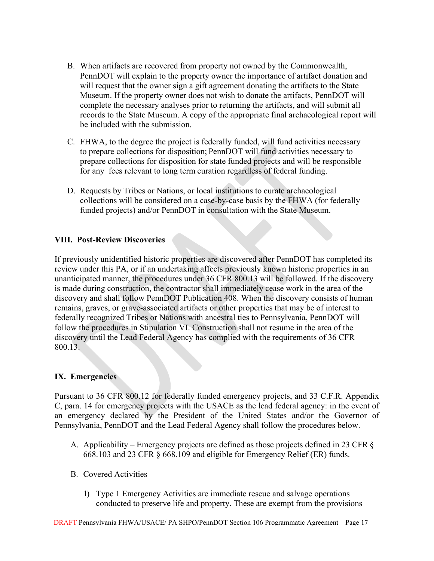- B. When artifacts are recovered from property not owned by the Commonwealth, PennDOT will explain to the property owner the importance of artifact donation and will request that the owner sign a gift agreement donating the artifacts to the State Museum. If the property owner does not wish to donate the artifacts, PennDOT will complete the necessary analyses prior to returning the artifacts, and will submit all records to the State Museum. A copy of the appropriate final archaeological report will be included with the submission.
- C. FHWA, to the degree the project is federally funded, will fund activities necessary to prepare collections for disposition; PennDOT will fund activities necessary to prepare collections for disposition for state funded projects and will be responsible for any fees relevant to long term curation regardless of federal funding.
- D. Requests by Tribes or Nations, or local institutions to curate archaeological collections will be considered on a case-by-case basis by the FHWA (for federally funded projects) and/or PennDOT in consultation with the State Museum.

# **VIII. Post-Review Discoveries**

If previously unidentified historic properties are discovered after PennDOT has completed its review under this PA, or if an undertaking affects previously known historic properties in an unanticipated manner, the procedures under 36 CFR 800.13 will be followed. If the discovery is made during construction, the contractor shall immediately cease work in the area of the discovery and shall follow PennDOT Publication 408. When the discovery consists of human remains, graves, or grave-associated artifacts or other properties that may be of interest to federally recognized Tribes or Nations with ancestral ties to Pennsylvania, PennDOT will follow the procedures in Stipulation VI. Construction shall not resume in the area of the discovery until the Lead Federal Agency has complied with the requirements of 36 CFR 800.13.

# **IX. Emergencies**

Pursuant to 36 CFR 800.12 for federally funded emergency projects, and 33 C.F.R. Appendix C, para. 14 for emergency projects with the USACE as the lead federal agency: in the event of an emergency declared by the President of the United States and/or the Governor of Pennsylvania, PennDOT and the Lead Federal Agency shall follow the procedures below.

- A. Applicability Emergency projects are defined as those projects defined in 23 CFR § 668.103 and 23 CFR § 668.109 and eligible for Emergency Relief (ER) funds.
- B. Covered Activities
	- 1) Type 1 Emergency Activities are immediate rescue and salvage operations conducted to preserve life and property. These are exempt from the provisions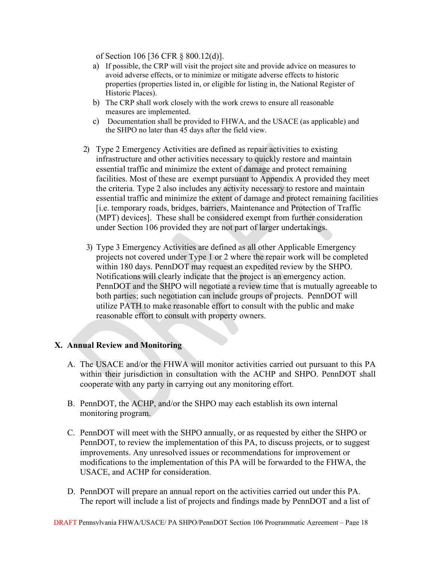of Section 106 [36 CFR § 800.12(d)].

- a) If possible, the CRP will visit the project site and provide advice on measures to avoid adverse effects, or to minimize or mitigate adverse effects to historic properties (properties listed in, or eligible for listing in, the National Register of Historic Places).
- b) The CRP shall work closely with the work crews to ensure all reasonable measures are implemented.
- c) Documentation shall be provided to FHWA, and the USACE (as applicable) and the SHPO no later than 45 days after the field view.
- 2) Type 2 Emergency Activities are defined as repair activities to existing infrastructure and other activities necessary to quickly restore and maintain essential traffic and minimize the extent of damage and protect remaining facilities. Most of these are exempt pursuant to Appendix A provided they meet the criteria. Type 2 also includes any activity necessary to restore and maintain essential traffic and minimize the extent of damage and protect remaining facilities [i.e. temporary roads, bridges, barriers, Maintenance and Protection of Traffic (MPT) devices]. These shall be considered exempt from further consideration under Section 106 provided they are not part of larger undertakings.
- 3) Type 3 Emergency Activities are defined as all other Applicable Emergency projects not covered under Type 1 or 2 where the repair work will be completed within 180 days. PennDOT may request an expedited review by the SHPO. Notifications will clearly indicate that the project is an emergency action. PennDOT and the SHPO will negotiate a review time that is mutually agreeable to both parties; such negotiation can include groups of projects. PennDOT will utilize PATH to make reasonable effort to consult with the public and make reasonable effort to consult with property owners.

## **X. Annual Review and Monitoring**

- A. The USACE and/or the FHWA will monitor activities carried out pursuant to this PA within their jurisdiction in consultation with the ACHP and SHPO. PennDOT shall cooperate with any party in carrying out any monitoring effort.
- B. PennDOT, the ACHP, and/or the SHPO may each establish its own internal monitoring program.
- C. PennDOT will meet with the SHPO annually, or as requested by either the SHPO or PennDOT, to review the implementation of this PA, to discuss projects, or to suggest improvements. Any unresolved issues or recommendations for improvement or modifications to the implementation of this PA will be forwarded to the FHWA, the USACE, and ACHP for consideration.
- D. PennDOT will prepare an annual report on the activities carried out under this PA. The report will include a list of projects and findings made by PennDOT and a list of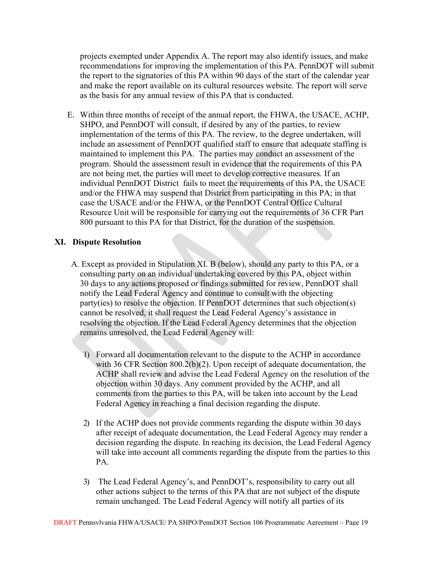projects exempted under Appendix A. The report may also identify issues, and make recommendations for improving the implementation of this PA. PennDOT will submit the report to the signatories of this PA within 90 days of the start of the calendar year and make the report available on its cultural resources website. The report will serve as the basis for any annual review of this PA that is conducted.

E. Within three months of receipt of the annual report, the FHWA, the USACE, ACHP, SHPO, and PennDOT will consult, if desired by any of the parties, to review implementation of the terms of this PA. The review, to the degree undertaken, will include an assessment of PennDOT qualified staff to ensure that adequate staffing is maintained to implement this PA. The parties may conduct an assessment of the program. Should the assessment result in evidence that the requirements of this PA are not being met, the parties will meet to develop corrective measures. If an individual PennDOT District fails to meet the requirements of this PA, the USACE and/or the FHWA may suspend that District from participating in this PA; in that case the USACE and/or the FHWA, or the PennDOT Central Office Cultural Resource Unit will be responsible for carrying out the requirements of 36 CFR Part 800 pursuant to this PA for that District, for the duration of the suspension.

## **XI. Dispute Resolution**

- A. Except as provided in Stipulation XI. B (below), should any party to this PA, or a consulting party on an individual undertaking covered by this PA, object within 30 days to any actions proposed or findings submitted for review, PennDOT shall notify the Lead Federal Agency and continue to consult with the objecting party(ies) to resolve the objection. If PennDOT determines that such objection(s) cannot be resolved, it shall request the Lead Federal Agency's assistance in resolving the objection. If the Lead Federal Agency determines that the objection remains unresolved, the Lead Federal Agency will:
	- 1) Forward all documentation relevant to the dispute to the ACHP in accordance with 36 CFR Section 800.2(b)(2). Upon receipt of adequate documentation, the ACHP shall review and advise the Lead Federal Agency on the resolution of the objection within 30 days. Any comment provided by the ACHP, and all comments from the parties to this PA, will be taken into account by the Lead Federal Agency in reaching a final decision regarding the dispute.
	- 2) If the ACHP does not provide comments regarding the dispute within 30 days after receipt of adequate documentation, the Lead Federal Agency may render a decision regarding the dispute. In reaching its decision, the Lead Federal Agency will take into account all comments regarding the dispute from the parties to this PA.
	- 3) The Lead Federal Agency's, and PennDOT's, responsibility to carry out all other actions subject to the terms of this PA that are not subject of the dispute remain unchanged. The Lead Federal Agency will notify all parties of its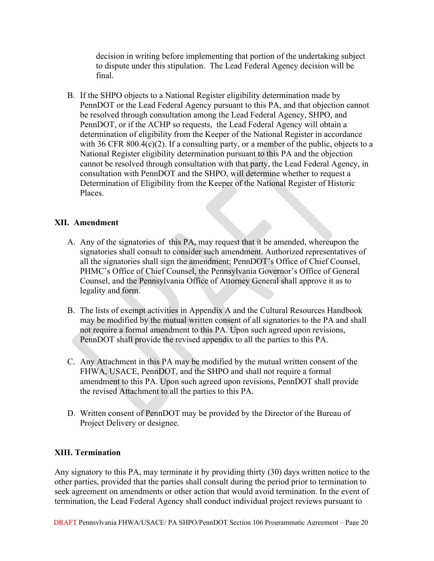decision in writing before implementing that portion of the undertaking subject to dispute under this stipulation. The Lead Federal Agency decision will be final.

B. If the SHPO objects to a National Register eligibility determination made by PennDOT or the Lead Federal Agency pursuant to this PA, and that objection cannot be resolved through consultation among the Lead Federal Agency, SHPO, and PennDOT, or if the ACHP so requests, the Lead Federal Agency will obtain a determination of eligibility from the Keeper of the National Register in accordance with 36 CFR 800.4(c)(2). If a consulting party, or a member of the public, objects to a National Register eligibility determination pursuant to this PA and the objection cannot be resolved through consultation with that party, the Lead Federal Agency, in consultation with PennDOT and the SHPO, will determine whether to request a Determination of Eligibility from the Keeper of the National Register of Historic Places.

# **XII. Amendment**

- A. Any of the signatories of this PA, may request that it be amended, whereupon the signatories shall consult to consider such amendment. Authorized representatives of all the signatories shall sign the amendment; PennDOT's Office of Chief Counsel, PHMC's Office of Chief Counsel, the Pennsylvania Governor's Office of General Counsel, and the Pennsylvania Office of Attorney General shall approve it as to legality and form.
- B. The lists of exempt activities in Appendix A and the Cultural Resources Handbook may be modified by the mutual written consent of all signatories to the PA and shall not require a formal amendment to this PA. Upon such agreed upon revisions, PennDOT shall provide the revised appendix to all the parties to this PA.
- C. Any Attachment in this PA may be modified by the mutual written consent of the FHWA, USACE, PennDOT, and the SHPO and shall not require a formal amendment to this PA. Upon such agreed upon revisions, PennDOT shall provide the revised Attachment to all the parties to this PA.
- D. Written consent of PennDOT may be provided by the Director of the Bureau of Project Delivery or designee.

# **XIII. Termination**

Any signatory to this PA, may terminate it by providing thirty (30) days written notice to the other parties, provided that the parties shall consult during the period prior to termination to seek agreement on amendments or other action that would avoid termination. In the event of termination, the Lead Federal Agency shall conduct individual project reviews pursuant to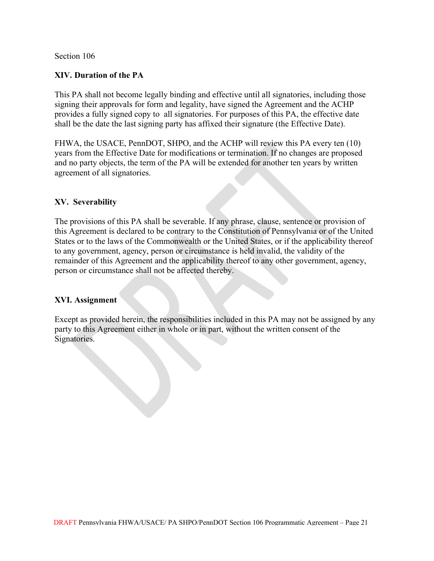## Section 106

## **XIV. Duration of the PA**

This PA shall not become legally binding and effective until all signatories, including those signing their approvals for form and legality, have signed the Agreement and the ACHP provides a fully signed copy to all signatories. For purposes of this PA, the effective date shall be the date the last signing party has affixed their signature (the Effective Date).

FHWA, the USACE, PennDOT, SHPO, and the ACHP will review this PA every ten (10) years from the Effective Date for modifications or termination. If no changes are proposed and no party objects, the term of the PA will be extended for another ten years by written agreement of all signatories.

## **XV. Severability**

The provisions of this PA shall be severable. If any phrase, clause, sentence or provision of this Agreement is declared to be contrary to the Constitution of Pennsylvania or of the United States or to the laws of the Commonwealth or the United States, or if the applicability thereof to any government, agency, person or circumstance is held invalid, the validity of the remainder of this Agreement and the applicability thereof to any other government, agency, person or circumstance shall not be affected thereby.

## **XVI. Assignment**

Except as provided herein, the responsibilities included in this PA may not be assigned by any party to this Agreement either in whole or in part, without the written consent of the Signatories.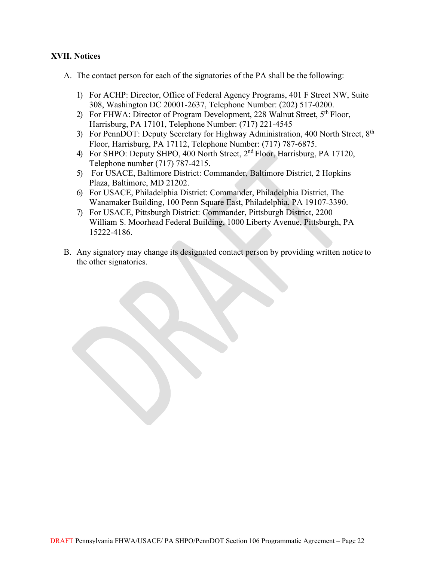## **XVII. Notices**

- A. The contact person for each of the signatories of the PA shall be the following:
	- 1) For ACHP: Director, Office of Federal Agency Programs, 401 F Street NW, Suite 308, Washington DC 20001-2637, Telephone Number: (202) 517-0200.
	- 2) For FHWA: Director of Program Development, 228 Walnut Street,  $5<sup>th</sup>$  Floor, Harrisburg, PA 17101, Telephone Number: (717) 221-4545
	- 3) For PennDOT: Deputy Secretary for Highway Administration, 400 North Street, 8<sup>th</sup> Floor, Harrisburg, PA 17112, Telephone Number: (717) 787-6875.
	- 4) For SHPO: Deputy SHPO, 400 North Street, 2<sup>nd</sup> Floor, Harrisburg, PA 17120, Telephone number (717) 787-4215.
	- 5) For USACE, Baltimore District: Commander, Baltimore District, 2 Hopkins Plaza, Baltimore, MD 21202.
	- 6) For USACE, Philadelphia District: Commander, Philadelphia District, The Wanamaker Building, 100 Penn Square East, Philadelphia, PA 19107-3390.
	- 7) For USACE, Pittsburgh District: Commander, Pittsburgh District, 2200 William S. Moorhead Federal Building, 1000 Liberty Avenue, Pittsburgh, PA 15222-4186.
- B. Any signatory may change its designated contact person by providing written notice to the other signatories.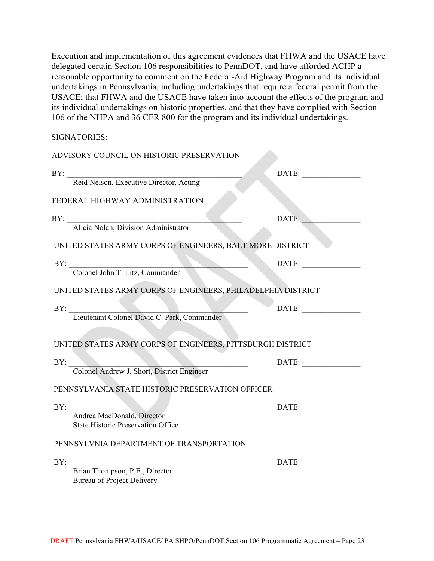Execution and implementation of this agreement evidences that FHWA and the USACE have delegated certain Section 106 responsibilities to PennDOT, and have afforded ACHP a reasonable opportunity to comment on the Federal-Aid Highway Program and its individual undertakings in Pennsylvania, including undertakings that require a federal permit from the USACE; that FHWA and the USACE have taken into account the effects of the program and its individual undertakings on historic properties, and that they have complied with Section 106 of the NHPA and 36 CFR 800 for the program and its individual undertakings.

SIGNATORIES:

| ADVISORY COUNCIL ON HISTORIC PRESERVATION                               |       |  |
|-------------------------------------------------------------------------|-------|--|
| BY:                                                                     | DATE: |  |
| Reid Nelson, Executive Director, Acting                                 |       |  |
| FEDERAL HIGHWAY ADMINISTRATION                                          |       |  |
| BY:                                                                     | DATE: |  |
| Alicia Nolan, Division Administrator                                    |       |  |
| UNITED STATES ARMY CORPS OF ENGINEERS, BALTIMORE DISTRICT               |       |  |
| BY:                                                                     | DATE: |  |
| Colonel John T. Litz, Commander                                         |       |  |
| UNITED STATES ARMY CORPS OF ENGINEERS, PHILADELPHIA DISTRICT            |       |  |
| BY:<br>Lieutenant Colonel David C. Park, Commander                      | DATE: |  |
|                                                                         |       |  |
| UNITED STATES ARMY CORPS OF ENGINEERS, PITTSBURGH DISTRICT              |       |  |
| BY:                                                                     | DATE: |  |
| Colonel Andrew J. Short, District Engineer                              |       |  |
| PENNSYLVANIA STATE HISTORIC PRESERVATION OFFICER                        |       |  |
| BY:                                                                     | DATE: |  |
| Andrea MacDonald, Director<br><b>State Historic Preservation Office</b> |       |  |
|                                                                         |       |  |
| PENNSYLVNIA DEPARTMENT OF TRANSPORTATION                                |       |  |
| BY:                                                                     | DATE: |  |
| Brian Thompson, P.E., Director                                          |       |  |
| <b>Bureau of Project Delivery</b>                                       |       |  |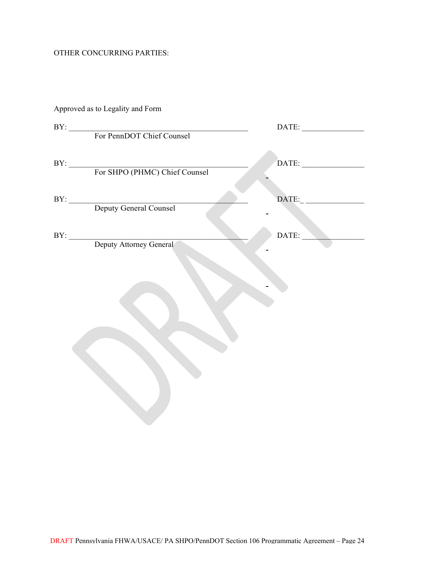# OTHER CONCURRING PARTIES:

| Approved as to Legality and Form  |                                                                                                                                                                                                                                                                                                                                                                                             |
|-----------------------------------|---------------------------------------------------------------------------------------------------------------------------------------------------------------------------------------------------------------------------------------------------------------------------------------------------------------------------------------------------------------------------------------------|
| BY: For PennDOT Chief Counsel     |                                                                                                                                                                                                                                                                                                                                                                                             |
|                                   |                                                                                                                                                                                                                                                                                                                                                                                             |
| BY: For SHPO (PHMC) Chief Counsel | $\begin{picture}(150,10) \put(0,0){\dashbox{0.5}(10,0){ }} \put(15,0){\circle{10}} \put(15,0){\circle{10}} \put(15,0){\circle{10}} \put(15,0){\circle{10}} \put(15,0){\circle{10}} \put(15,0){\circle{10}} \put(15,0){\circle{10}} \put(15,0){\circle{10}} \put(15,0){\circle{10}} \put(15,0){\circle{10}} \put(15,0){\circle{10}} \put(15,0){\circle{10}} \put(15,0){\circle{10}} \put(15$ |
|                                   |                                                                                                                                                                                                                                                                                                                                                                                             |
| BY: Deputy General Counsel        | $\text{DATE:}\_\_$                                                                                                                                                                                                                                                                                                                                                                          |
|                                   | DATE:                                                                                                                                                                                                                                                                                                                                                                                       |
| BY: Deputy Attorney General       |                                                                                                                                                                                                                                                                                                                                                                                             |
|                                   |                                                                                                                                                                                                                                                                                                                                                                                             |
|                                   |                                                                                                                                                                                                                                                                                                                                                                                             |
|                                   |                                                                                                                                                                                                                                                                                                                                                                                             |
|                                   |                                                                                                                                                                                                                                                                                                                                                                                             |
|                                   |                                                                                                                                                                                                                                                                                                                                                                                             |
|                                   |                                                                                                                                                                                                                                                                                                                                                                                             |
|                                   |                                                                                                                                                                                                                                                                                                                                                                                             |
|                                   |                                                                                                                                                                                                                                                                                                                                                                                             |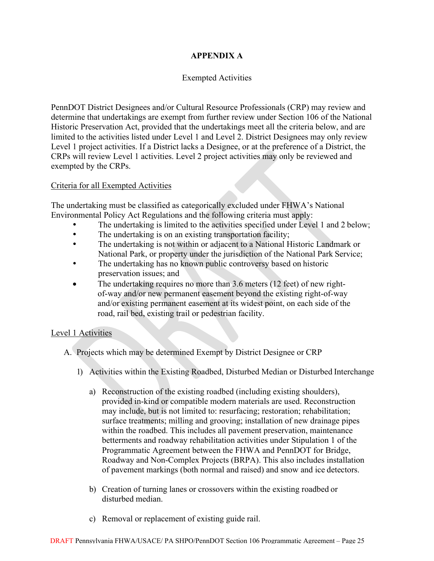# **APPENDIX A**

# Exempted Activities

PennDOT District Designees and/or Cultural Resource Professionals (CRP) may review and determine that undertakings are exempt from further review under Section 106 of the National Historic Preservation Act, provided that the undertakings meet all the criteria below, and are limited to the activities listed under Level 1 and Level 2. District Designees may only review Level 1 project activities. If a District lacks a Designee, or at the preference of a District, the CRPs will review Level 1 activities. Level 2 project activities may only be reviewed and exempted by the CRPs.

## Criteria for all Exempted Activities

The undertaking must be classified as categorically excluded under FHWA's National Environmental Policy Act Regulations and the following criteria must apply:

- The undertaking is limited to the activities specified under Level 1 and 2 below;
- The undertaking is on an existing transportation facility;
- The undertaking is not within or adjacent to a National Historic Landmark or National Park, or property under the jurisdiction of the National Park Service;
- The undertaking has no known public controversy based on historic preservation issues; and
- The undertaking requires no more than 3.6 meters (12 feet) of new rightof-way and/or new permanent easement beyond the existing right-of-way and/or existing permanent easement at its widest point, on each side of the road, rail bed, existing trail or pedestrian facility.

# Level 1 Activities

- A. Projects which may be determined Exempt by District Designee or CRP
	- 1) Activities within the Existing Roadbed, Disturbed Median or Disturbed Interchange
		- a) Reconstruction of the existing roadbed (including existing shoulders), provided in-kind or compatible modern materials are used. Reconstruction may include, but is not limited to: resurfacing; restoration; rehabilitation; surface treatments; milling and grooving; installation of new drainage pipes within the roadbed. This includes all pavement preservation, maintenance betterments and roadway rehabilitation activities under Stipulation 1 of the Programmatic Agreement between the FHWA and PennDOT for Bridge, Roadway and Non-Complex Projects (BRPA). This also includes installation of pavement markings (both normal and raised) and snow and ice detectors.
		- b) Creation of turning lanes or crossovers within the existing roadbed or disturbed median.
		- c) Removal or replacement of existing guide rail.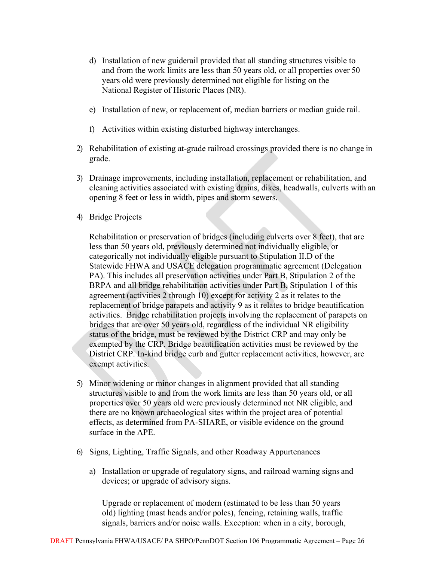- d) Installation of new guiderail provided that all standing structures visible to and from the work limits are less than 50 years old, or all properties over 50 years old were previously determined not eligible for listing on the National Register of Historic Places (NR).
- e) Installation of new, or replacement of, median barriers or median guide rail.
- f) Activities within existing disturbed highway interchanges.
- 2) Rehabilitation of existing at-grade railroad crossings provided there is no change in grade.
- 3) Drainage improvements, including installation, replacement or rehabilitation, and cleaning activities associated with existing drains, dikes, headwalls, culverts with an opening 8 feet or less in width, pipes and storm sewers.
- 4) Bridge Projects

Rehabilitation or preservation of bridges (including culverts over 8 feet), that are less than 50 years old, previously determined not individually eligible, or categorically not individually eligible pursuant to Stipulation II.D of the Statewide FHWA and USACE delegation programmatic agreement (Delegation PA). This includes all preservation activities under Part B, Stipulation 2 of the BRPA and all bridge rehabilitation activities under Part B, Stipulation 1 of this agreement (activities 2 through 10) except for activity 2 as it relates to the replacement of bridge parapets and activity 9 as it relates to bridge beautification activities. Bridge rehabilitation projects involving the replacement of parapets on bridges that are over 50 years old, regardless of the individual NR eligibility status of the bridge, must be reviewed by the District CRP and may only be exempted by the CRP. Bridge beautification activities must be reviewed by the District CRP. In-kind bridge curb and gutter replacement activities, however, are exempt activities.

- 5) Minor widening or minor changes in alignment provided that all standing structures visible to and from the work limits are less than 50 years old, or all properties over 50 years old were previously determined not NR eligible, and there are no known archaeological sites within the project area of potential effects, as determined from PA-SHARE, or visible evidence on the ground surface in the APE.
- 6) Signs, Lighting, Traffic Signals, and other Roadway Appurtenances
	- a) Installation or upgrade of regulatory signs, and railroad warning signs and devices; or upgrade of advisory signs.

Upgrade or replacement of modern (estimated to be less than 50 years old) lighting (mast heads and/or poles), fencing, retaining walls, traffic signals, barriers and/or noise walls. Exception: when in a city, borough,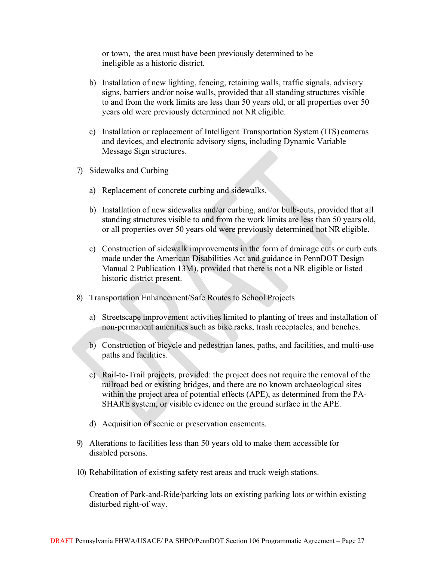or town, the area must have been previously determined to be ineligible as a historic district.

- b) Installation of new lighting, fencing, retaining walls, traffic signals, advisory signs, barriers and/or noise walls, provided that all standing structures visible to and from the work limits are less than 50 years old, or all properties over 50 years old were previously determined not NR eligible.
- c) Installation or replacement of Intelligent Transportation System (ITS) cameras and devices, and electronic advisory signs, including Dynamic Variable Message Sign structures.
- 7) Sidewalks and Curbing
	- a) Replacement of concrete curbing and sidewalks.
	- b) Installation of new sidewalks and/or curbing, and/or bulb-outs, provided that all standing structures visible to and from the work limits are less than 50 years old, or all properties over 50 years old were previously determined not NR eligible.
	- c) Construction of sidewalk improvements in the form of drainage cuts or curb cuts made under the American Disabilities Act and guidance in PennDOT Design Manual 2 Publication 13M), provided that there is not a NR eligible or listed historic district present.
- 8) Transportation Enhancement/Safe Routes to School Projects
	- a) Streetscape improvement activities limited to planting of trees and installation of non-permanent amenities such as bike racks, trash receptacles, and benches.
	- b) Construction of bicycle and pedestrian lanes, paths, and facilities, and multi-use paths and facilities.
	- c) Rail-to-Trail projects, provided: the project does not require the removal of the railroad bed or existing bridges, and there are no known archaeological sites within the project area of potential effects (APE), as determined from the PA-SHARE system, or visible evidence on the ground surface in the APE.
	- d) Acquisition of scenic or preservation easements.
- 9) Alterations to facilities less than 50 years old to make them accessible for disabled persons.
- 10) Rehabilitation of existing safety rest areas and truck weigh stations.

Creation of Park-and-Ride/parking lots on existing parking lots or within existing disturbed right-of way.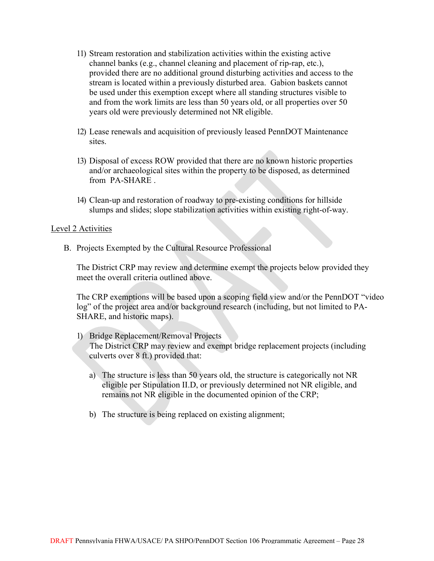- 11) Stream restoration and stabilization activities within the existing active channel banks (e.g., channel cleaning and placement of rip-rap, etc.), provided there are no additional ground disturbing activities and access to the stream is located within a previously disturbed area. Gabion baskets cannot be used under this exemption except where all standing structures visible to and from the work limits are less than 50 years old, or all properties over 50 years old were previously determined not NR eligible.
- 12) Lease renewals and acquisition of previously leased PennDOT Maintenance sites.
- 13) Disposal of excess ROW provided that there are no known historic properties and/or archaeological sites within the property to be disposed, as determined from PA-SHARE .
- 14) Clean-up and restoration of roadway to pre-existing conditions for hillside slumps and slides; slope stabilization activities within existing right-of-way.

#### Level 2 Activities

B. Projects Exempted by the Cultural Resource Professional

The District CRP may review and determine exempt the projects below provided they meet the overall criteria outlined above.

The CRP exemptions will be based upon a scoping field view and/or the PennDOT "video log" of the project area and/or background research (including, but not limited to PA-SHARE, and historic maps).

- 1) Bridge Replacement/Removal Projects The District CRP may review and exempt bridge replacement projects (including culverts over 8 ft.) provided that:
	- a) The structure is less than 50 years old, the structure is categorically not NR eligible per Stipulation II.D, or previously determined not NR eligible, and remains not NR eligible in the documented opinion of the CRP;
	- b) The structure is being replaced on existing alignment;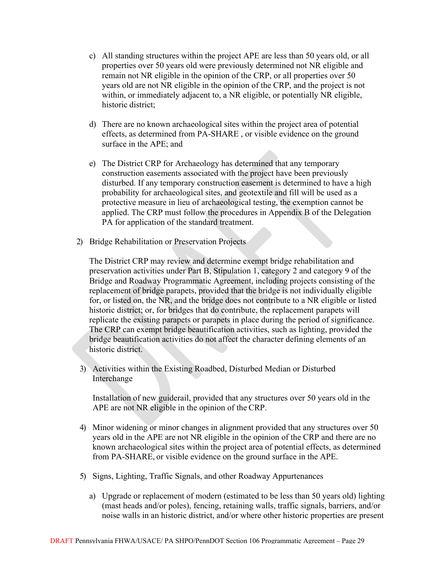- c) All standing structures within the project APE are less than 50 years old, or all properties over 50 years old were previously determined not NR eligible and remain not NR eligible in the opinion of the CRP, or all properties over 50 years old are not NR eligible in the opinion of the CRP, and the project is not within, or immediately adjacent to, a NR eligible, or potentially NR eligible, historic district;
- d) There are no known archaeological sites within the project area of potential effects, as determined from PA-SHARE , or visible evidence on the ground surface in the APE; and
- e) The District CRP for Archaeology has determined that any temporary construction easements associated with the project have been previously disturbed. If any temporary construction easement is determined to have a high probability for archaeological sites, and geotextile and fill will be used as a protective measure in lieu of archaeological testing, the exemption cannot be applied. The CRP must follow the procedures in Appendix B of the Delegation PA for application of the standard treatment.
- 2) Bridge Rehabilitation or Preservation Projects

The District CRP may review and determine exempt bridge rehabilitation and preservation activities under Part B, Stipulation 1, category 2 and category 9 of the Bridge and Roadway Programmatic Agreement, including projects consisting of the replacement of bridge parapets, provided that the bridge is not individually eligible for, or listed on, the NR, and the bridge does not contribute to a NR eligible or listed historic district; or, for bridges that do contribute, the replacement parapets will replicate the existing parapets or parapets in place during the period of significance. The CRP can exempt bridge beautification activities, such as lighting, provided the bridge beautification activities do not affect the character defining elements of an historic district.

3) Activities within the Existing Roadbed, Disturbed Median or Disturbed Interchange

Installation of new guiderail, provided that any structures over 50 years old in the APE are not NR eligible in the opinion of the CRP.

- 4) Minor widening or minor changes in alignment provided that any structures over 50 years old in the APE are not NR eligible in the opinion of the CRP and there are no known archaeological sites within the project area of potential effects, as determined from PA-SHARE, or visible evidence on the ground surface in the APE.
- 5) Signs, Lighting, Traffic Signals, and other Roadway Appurtenances
	- a) Upgrade or replacement of modern (estimated to be less than 50 years old) lighting (mast heads and/or poles), fencing, retaining walls, traffic signals, barriers, and/or noise walls in an historic district, and/or where other historic properties are present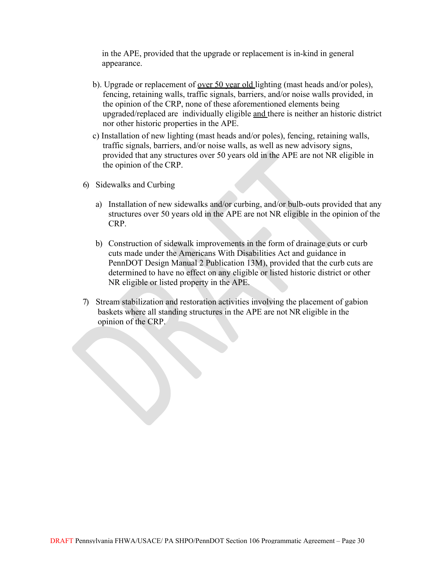in the APE, provided that the upgrade or replacement is in-kind in general appearance.

- b). Upgrade or replacement of <u>over 50 year old lighting</u> (mast heads and/or poles), fencing, retaining walls, traffic signals, barriers, and/or noise walls provided, in the opinion of the CRP, none of these aforementioned elements being upgraded/replaced are individually eligible and there is neither an historic district nor other historic properties in the APE.
- c) Installation of new lighting (mast heads and/or poles), fencing, retaining walls, traffic signals, barriers, and/or noise walls, as well as new advisory signs, provided that any structures over 50 years old in the APE are not NR eligible in the opinion of the CRP.
- 6) Sidewalks and Curbing
	- a) Installation of new sidewalks and/or curbing, and/or bulb-outs provided that any structures over 50 years old in the APE are not NR eligible in the opinion of the CRP.
	- b) Construction of sidewalk improvements in the form of drainage cuts or curb cuts made under the Americans With Disabilities Act and guidance in PennDOT Design Manual 2 Publication 13M), provided that the curb cuts are determined to have no effect on any eligible or listed historic district or other NR eligible or listed property in the APE.
- 7) Stream stabilization and restoration activities involving the placement of gabion baskets where all standing structures in the APE are not NR eligible in the opinion of the CRP.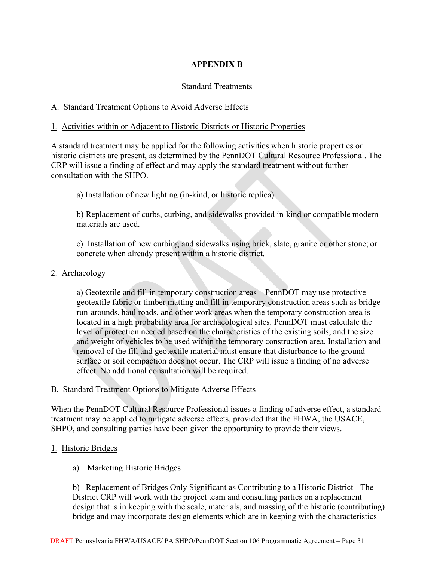# **APPENDIX B**

# Standard Treatments

# A. Standard Treatment Options to Avoid Adverse Effects

# 1. Activities within or Adjacent to Historic Districts or Historic Properties

A standard treatment may be applied for the following activities when historic properties or historic districts are present, as determined by the PennDOT Cultural Resource Professional. The CRP will issue a finding of effect and may apply the standard treatment without further consultation with the SHPO.

a) Installation of new lighting (in-kind, or historic replica).

b) Replacement of curbs, curbing, and sidewalks provided in-kind or compatible modern materials are used.

c) Installation of new curbing and sidewalks using brick, slate, granite or other stone; or concrete when already present within a historic district.

## 2. Archaeology

a) Geotextile and fill in temporary construction areas – PennDOT may use protective geotextile fabric or timber matting and fill in temporary construction areas such as bridge run-arounds, haul roads, and other work areas when the temporary construction area is located in a high probability area for archaeological sites. PennDOT must calculate the level of protection needed based on the characteristics of the existing soils, and the size and weight of vehicles to be used within the temporary construction area. Installation and removal of the fill and geotextile material must ensure that disturbance to the ground surface or soil compaction does not occur. The CRP will issue a finding of no adverse effect. No additional consultation will be required.

## B. Standard Treatment Options to Mitigate Adverse Effects

When the PennDOT Cultural Resource Professional issues a finding of adverse effect, a standard treatment may be applied to mitigate adverse effects, provided that the FHWA, the USACE, SHPO, and consulting parties have been given the opportunity to provide their views.

# 1. Historic Bridges

a) Marketing Historic Bridges

b) Replacement of Bridges Only Significant as Contributing to a Historic District - The District CRP will work with the project team and consulting parties on a replacement design that is in keeping with the scale, materials, and massing of the historic (contributing) bridge and may incorporate design elements which are in keeping with the characteristics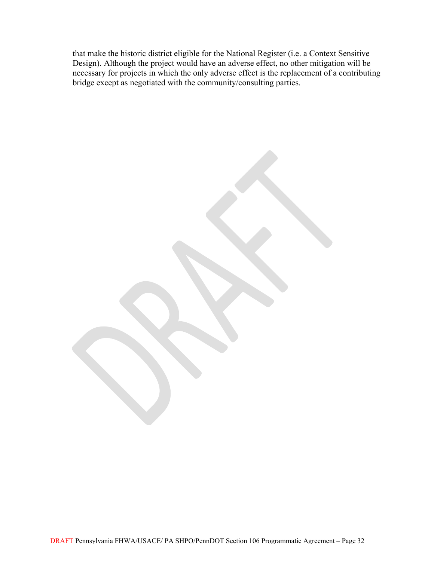that make the historic district eligible for the National Register (i.e. a Context Sensitive Design). Although the project would have an adverse effect, no other mitigation will be necessary for projects in which the only adverse effect is the replacement of a contributing bridge except as negotiated with the community/consulting parties.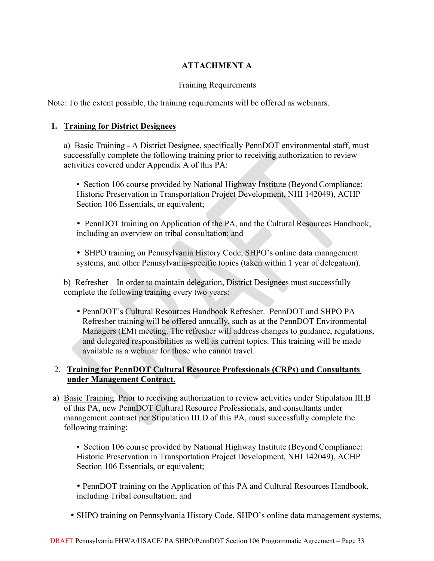# **ATTACHMENT A**

# Training Requirements

Note: To the extent possible, the training requirements will be offered as webinars.

## **1. Training for District Designees**

a) Basic Training - A District Designee, specifically PennDOT environmental staff, must successfully complete the following training prior to receiving authorization to review activities covered under Appendix A of this PA:

• Section 106 course provided by National Highway Institute (Beyond Compliance: Historic Preservation in Transportation Project Development, NHI 142049), ACHP Section 106 Essentials, or equivalent;

• PennDOT training on Application of the PA, and the Cultural Resources Handbook, including an overview on tribal consultation; and

• SHPO training on Pennsylvania History Code, SHPO's online data management systems, and other Pennsylvania-specific topics (taken within 1 year of delegation).

b) Refresher – In order to maintain delegation, District Designees must successfully complete the following training every two years:

 PennDOT's Cultural Resources Handbook Refresher. PennDOT and SHPO PA Refresher training will be offered annually, such as at the PennDOT Environmental Managers (EM) meeting. The refresher will address changes to guidance, regulations, and delegated responsibilities as well as current topics. This training will be made available as a webinar for those who cannot travel.

## 2. **Training for PennDOT Cultural Resource Professionals (CRPs) and Consultants under Management Contract**.

a) Basic Training. Prior to receiving authorization to review activities under Stipulation III.B of this PA, new PennDOT Cultural Resource Professionals, and consultants under management contract per Stipulation III.D of this PA, must successfully complete the following training:

• Section 106 course provided by National Highway Institute (Beyond Compliance: Historic Preservation in Transportation Project Development, NHI 142049), ACHP Section 106 Essentials, or equivalent;

• PennDOT training on the Application of this PA and Cultural Resources Handbook, including Tribal consultation; and

• SHPO training on Pennsylvania History Code, SHPO's online data management systems,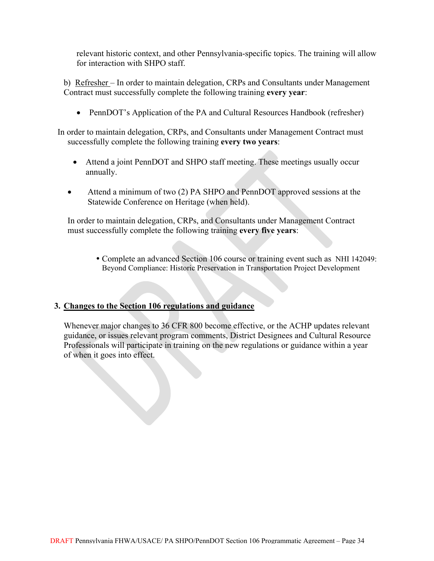relevant historic context, and other Pennsylvania-specific topics. The training will allow for interaction with SHPO staff.

b) Refresher – In order to maintain delegation, CRPs and Consultants under Management Contract must successfully complete the following training **every year**:

• PennDOT's Application of the PA and Cultural Resources Handbook (refresher)

In order to maintain delegation, CRPs, and Consultants under Management Contract must successfully complete the following training **every two years**:

- Attend a joint PennDOT and SHPO staff meeting. These meetings usually occur annually.
- Attend a minimum of two (2) PA SHPO and PennDOT approved sessions at the Statewide Conference on Heritage (when held).

In order to maintain delegation, CRPs, and Consultants under Management Contract must successfully complete the following training **every five years**:

 Complete an advanced Section 106 course or training event such as NHI 142049: Beyond Compliance: Historic Preservation in Transportation Project Development

# **3. Changes to the Section 106 regulations and guidance**

Whenever major changes to 36 CFR 800 become effective, or the ACHP updates relevant guidance, or issues relevant program comments, District Designees and Cultural Resource Professionals will participate in training on the new regulations or guidance within a year of when it goes into effect.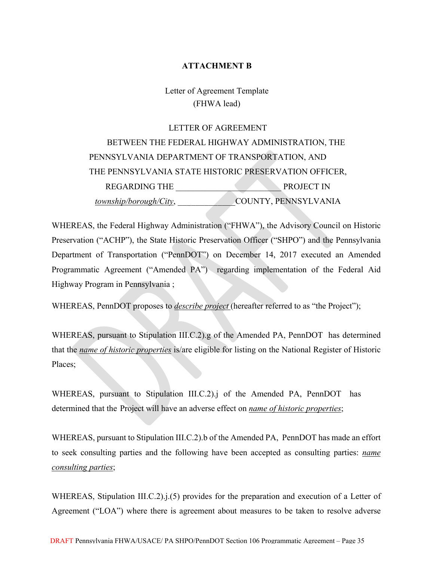## **ATTACHMENT B**

Letter of Agreement Template (FHWA lead)

LETTER OF AGREEMENT BETWEEN THE FEDERAL HIGHWAY ADMINISTRATION, THE PENNSYLVANIA DEPARTMENT OF TRANSPORTATION, AND THE PENNSYLVANIA STATE HISTORIC PRESERVATION OFFICER, REGARDING THE PROJECT IN *township/borough/City*, \_\_\_\_\_\_\_\_\_\_\_\_\_COUNTY, PENNSYLVANIA

WHEREAS, the Federal Highway Administration ("FHWA"), the Advisory Council on Historic Preservation ("ACHP"), the State Historic Preservation Officer ("SHPO") and the Pennsylvania Department of Transportation ("PennDOT") on December 14, 2017 executed an Amended Programmatic Agreement ("Amended PA") regarding implementation of the Federal Aid Highway Program in Pennsylvania ;

WHEREAS, PennDOT proposes to *describe project* (hereafter referred to as "the Project");

WHEREAS, pursuant to Stipulation III.C.2).g of the Amended PA, PennDOT has determined that the *name of historic properties* is/are eligible for listing on the National Register of Historic Places;

WHEREAS, pursuant to Stipulation III.C.2).j of the Amended PA, PennDOT has determined that the Project will have an adverse effect on *name of historic properties*;

WHEREAS, pursuant to Stipulation III.C.2).b of the Amended PA, PennDOT has made an effort to seek consulting parties and the following have been accepted as consulting parties: *name consulting parties*;

WHEREAS, Stipulation III.C.2).j.(5) provides for the preparation and execution of a Letter of Agreement ("LOA") where there is agreement about measures to be taken to resolve adverse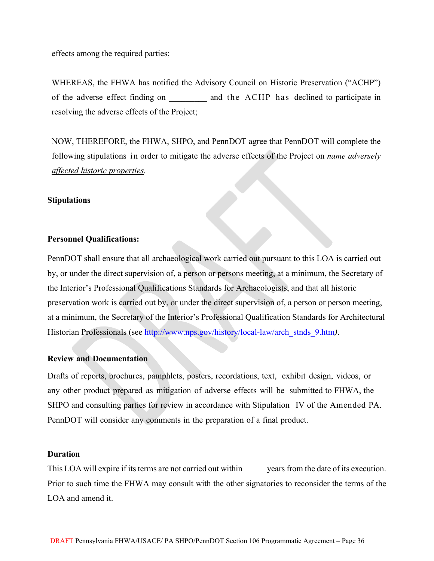effects among the required parties;

WHEREAS, the FHWA has notified the Advisory Council on Historic Preservation ("ACHP") of the adverse effect finding on and the ACHP has declined to participate in resolving the adverse effects of the Project;

NOW, THEREFORE, the FHWA, SHPO, and PennDOT agree that PennDOT will complete the following stipulations in order to mitigate the adverse effects of the Project on *name adversely affected historic properties.*

#### **Stipulations**

#### **Personnel Qualifications:**

PennDOT shall ensure that all archaeological work carried out pursuant to this LOA is carried out by, or under the direct supervision of, a person or persons meeting, at a minimum, the Secretary of the Interior's Professional Qualifications Standards for Archaeologists, and that all historic preservation work is carried out by, or under the direct supervision of, a person or person meeting, at a minimum, the Secretary of the Interior's Professional Qualification Standards for Architectural Historian Professionals (see [http://www.nps.gov/history/local-law/arch\\_stnds\\_9.htm](http://www.nps.gov/history/local-law/arch_stnds_9.htm)*)*.

#### **Review and Documentation**

Drafts of reports, brochures, pamphlets, posters, recordations, text, exhibit design, videos, or any other product prepared as mitigation of adverse effects will be submitted to FHWA, the SHPO and consulting parties for review in accordance with Stipulation IV of the Amended PA. PennDOT will consider any comments in the preparation of a final product.

#### **Duration**

This LOA will expire if its terms are not carried out within years from the date of its execution. Prior to such time the FHWA may consult with the other signatories to reconsider the terms of the LOA and amend it.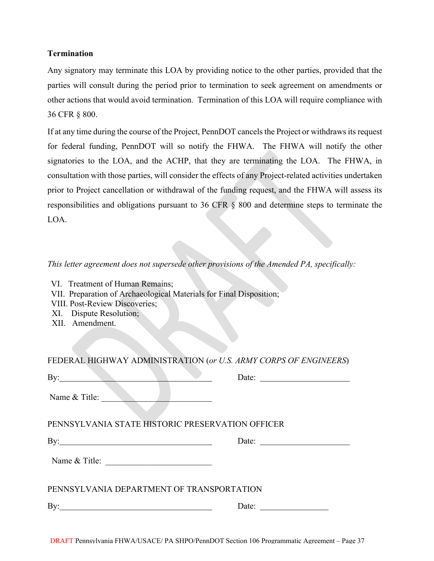#### **Termination**

Any signatory may terminate this LOA by providing notice to the other parties, provided that the parties will consult during the period prior to termination to seek agreement on amendments or other actions that would avoid termination. Termination of this LOA will require compliance with 36 CFR § 800.

If at any time during the course of the Project, PennDOT cancels the Project or withdraws its request for federal funding, PennDOT will so notify the FHWA. The FHWA will notify the other signatories to the LOA, and the ACHP, that they are terminating the LOA. The FHWA, in consultation with those parties, will consider the effects of any Project-related activities undertaken prior to Project cancellation or withdrawal of the funding request, and the FHWA will assess its responsibilities and obligations pursuant to 36 CFR § 800 and determine steps to terminate the LOA.

## *This letter agreement does not supersede other provisions of the Amended PA, specifically:*

VI. Treatment of Human Remains;

- VII. Preparation of Archaeological Materials for Final Disposition;
- VIII. Post-Review Discoveries;
- XI. Dispute Resolution;
- XII. Amendment.

| FEDERAL HIGHWAY ADMINISTRATION (or U.S. ARMY CORPS OF ENGINEERS) |                       |
|------------------------------------------------------------------|-----------------------|
| $\mathbf{B}$ y:                                                  |                       |
| Name & Title:                                                    |                       |
| PENNSYLVANIA STATE HISTORIC PRESERVATION OFFICER                 |                       |
| By: $\qquad \qquad$                                              | Date: $\qquad \qquad$ |
| Name & Title:                                                    |                       |
| PENNSYLVANIA DEPARTMENT OF TRANSPORTATION                        |                       |
|                                                                  | Date: $\qquad \qquad$ |